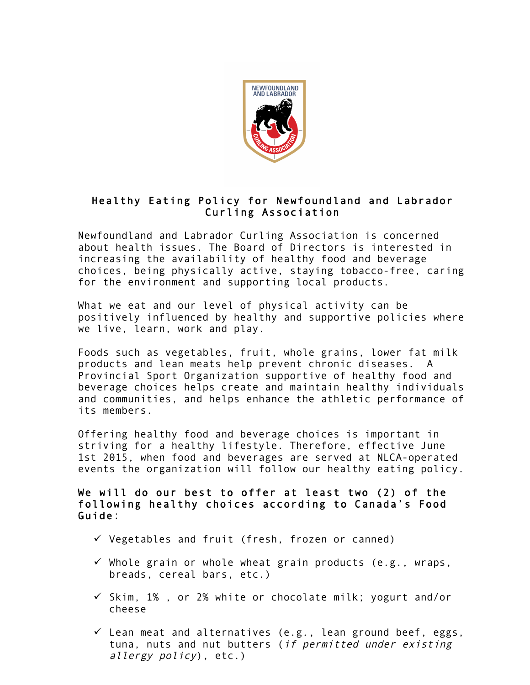

## Healthy Eating Policy for Newfoundland and Labrador Curling Association

Newfoundland and Labrador Curling Association is concerned about health issues. The Board of Directors is interested in increasing the availability of healthy food and beverage choices, being physically active, staying tobacco-free, caring for the environment and supporting local products.

What we eat and our level of physical activity can be positively influenced by healthy and supportive policies where we live, learn, work and play.

Foods such as vegetables, fruit, whole grains, lower fat milk products and lean meats help prevent chronic diseases. A Provincial Sport Organization supportive of healthy food and beverage choices helps create and maintain healthy individuals and communities, and helps enhance the athletic performance of its members.

Offering healthy food and beverage choices is important in striving for a healthy lifestyle. Therefore, effective June 1st 2015, when food and beverages are served at NLCA-operated events the organization will follow our healthy eating policy.

We will do our best to offer at least two (2) of the following healthy choices according to Canada's Food Guide:

- $\checkmark$  Vegetables and fruit (fresh, frozen or canned)
- $\checkmark$  Whole grain or whole wheat grain products (e.g., wraps, breads, cereal bars, etc.)
- $\checkmark$  Skim, 1%, or 2% white or chocolate milk; yogurt and/or cheese
- $\checkmark$  Lean meat and alternatives (e.g., lean ground beef, eggs, tuna, nuts and nut butters (if permitted under existing allergy policy), etc.)